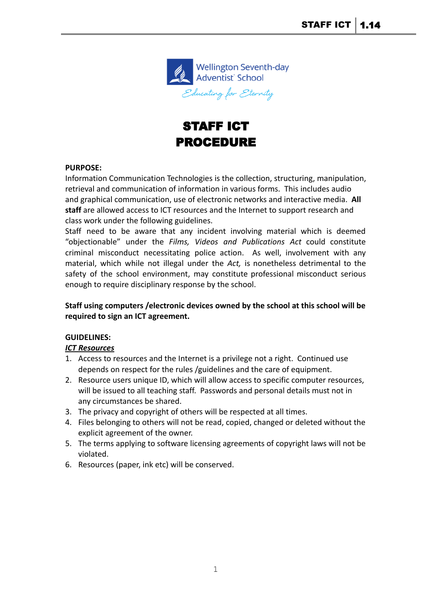

# STAFF ICT PROCEDURE

### **PURPOSE:**

Information Communication Technologies is the collection, structuring, manipulation, retrieval and communication of information in various forms. This includes audio and graphical communication, use of electronic networks and interactive media. **All staff** are allowed access to ICT resources and the Internet to support research and class work under the following guidelines.

Staff need to be aware that any incident involving material which is deemed "objectionable" under the *Films, Videos and Publications Act* could constitute criminal misconduct necessitating police action. As well, involvement with any material, which while not illegal under the *Act,* is nonetheless detrimental to the safety of the school environment, may constitute professional misconduct serious enough to require disciplinary response by the school.

### **Staff using computers /electronic devices owned by the school at this school will be required to sign an ICT agreement.**

### **GUIDELINES:**

### *ICT Resources*

- 1. Access to resources and the Internet is a privilege not a right. Continued use depends on respect for the rules /guidelines and the care of equipment.
- 2. Resource users unique ID, which will allow access to specific computer resources, will be issued to all teaching staff. Passwords and personal details must not in any circumstances be shared.
- 3. The privacy and copyright of others will be respected at all times.
- 4. Files belonging to others will not be read, copied, changed or deleted without the explicit agreement of the owner.
- 5. The terms applying to software licensing agreements of copyright laws will not be violated.
- 6. Resources (paper, ink etc) will be conserved.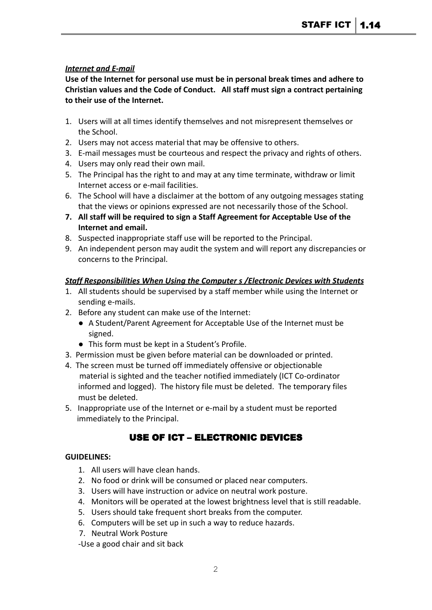### *Internet and E-mail*

**Use of the Internet for personal use must be in personal break times and adhere to Christian values and the Code of Conduct. All staff must sign a contract pertaining to their use of the Internet.**

- 1. Users will at all times identify themselves and not misrepresent themselves or the School.
- 2. Users may not access material that may be offensive to others.
- 3. E-mail messages must be courteous and respect the privacy and rights of others.
- 4. Users may only read their own mail.
- 5. The Principal has the right to and may at any time terminate, withdraw or limit Internet access or e-mail facilities.
- 6. The School will have a disclaimer at the bottom of any outgoing messages stating that the views or opinions expressed are not necessarily those of the School.
- **7. All staff will be required to sign a Staff Agreement for Acceptable Use of the Internet and email.**
- 8. Suspected inappropriate staff use will be reported to the Principal.
- 9. An independent person may audit the system and will report any discrepancies or concerns to the Principal.

### *Staff Responsibilities When Using the Computer s /Electronic Devices with Students*

- 1. All students should be supervised by a staff member while using the Internet or sending e-mails.
- 2. Before any student can make use of the Internet:
	- A Student/Parent Agreement for Acceptable Use of the Internet must be signed.
	- This form must be kept in a Student's Profile.
- 3. Permission must be given before material can be downloaded or printed.
- 4. The screen must be turned off immediately offensive or objectionable material is sighted and the teacher notified immediately (ICT Co-ordinator informed and logged). The history file must be deleted. The temporary files must be deleted.
- 5. Inappropriate use of the Internet or e-mail by a student must be reported immediately to the Principal.

### USE OF ICT – ELECTRONIC DEVICES

### **GUIDELINES:**

- 1. All users will have clean hands.
- 2. No food or drink will be consumed or placed near computers.
- 3. Users will have instruction or advice on neutral work posture.
- 4. Monitors will be operated at the lowest brightness level that is still readable.
- 5. Users should take frequent short breaks from the computer.
- 6. Computers will be set up in such a way to reduce hazards.
- 7. Neutral Work Posture
- -Use a good chair and sit back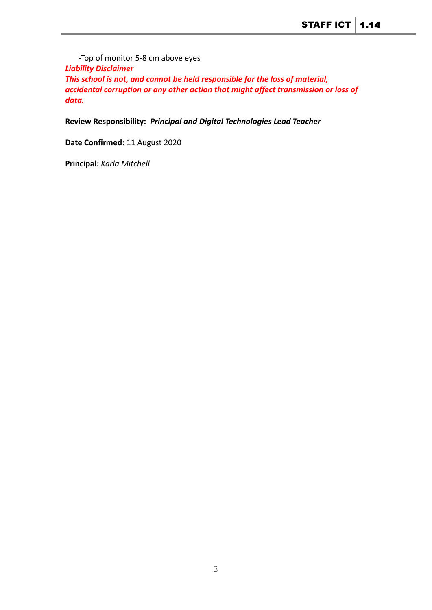-Top of monitor 5-8 cm above eyes *Liability Disclaimer This school is not, and cannot be held responsible for the loss of material, accidental corruption or any other action that might affect transmission or loss of data.*

**Review Responsibility:** *Principal and Digital Technologies Lead Teacher*

**Date Confirmed:** 11 August 2020

**Principal:** *Karla Mitchell*